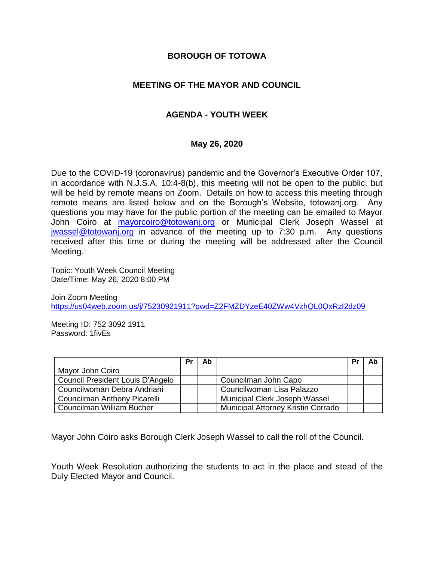## **BOROUGH OF TOTOWA**

## **MEETING OF THE MAYOR AND COUNCIL**

# **AGENDA - YOUTH WEEK**

### **May 26, 2020**

Due to the COVID-19 (coronavirus) pandemic and the Governor's Executive Order 107, in accordance with N.J.S.A. 10:4-8(b), this meeting will not be open to the public, but will be held by remote means on Zoom. Details on how to access this meeting through remote means are listed below and on the Borough's Website, totowanj.org. Any questions you may have for the public portion of the meeting can be emailed to Mayor John Coiro at [mayorcoiro@totowanj.org](mailto:mayorcoiro@totowanj.org) or Municipal Clerk Joseph Wassel at [jwassel@totowanj.org](mailto:jwassel@totowanj.org) in advance of the meeting up to 7:30 p.m. Any questions received after this time or during the meeting will be addressed after the Council Meeting.

Topic: Youth Week Council Meeting Date/Time: May 26, 2020 8:00 PM

Join Zoom Meeting <https://us04web.zoom.us/j/75230921911?pwd=Z2FMZDYzeE40ZWw4VzhQL0QxRzI2dz09>

Meeting ID: 752 3092 1911 Password: 1fivEs

|                                  | Pr | Ab |                                           | . Pr | Ab |
|----------------------------------|----|----|-------------------------------------------|------|----|
| Mayor John Coiro                 |    |    |                                           |      |    |
| Council President Louis D'Angelo |    |    | Councilman John Capo                      |      |    |
| Councilwoman Debra Andriani      |    |    | Councilwoman Lisa Palazzo                 |      |    |
| Councilman Anthony Picarelli     |    |    | Municipal Clerk Joseph Wassel             |      |    |
| Councilman William Bucher        |    |    | <b>Municipal Attorney Kristin Corrado</b> |      |    |

Mayor John Coiro asks Borough Clerk Joseph Wassel to call the roll of the Council.

Youth Week Resolution authorizing the students to act in the place and stead of the Duly Elected Mayor and Council.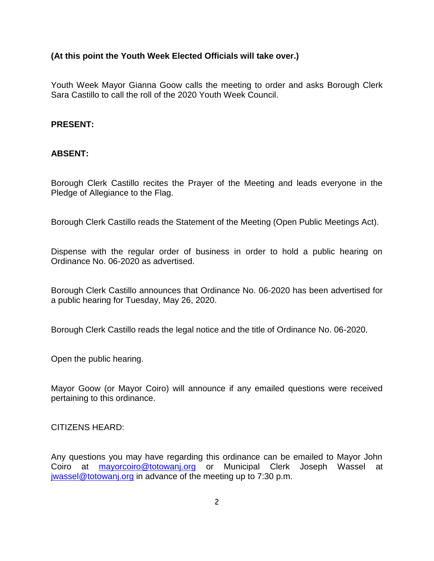## **(At this point the Youth Week Elected Officials will take over.)**

Youth Week Mayor Gianna Goow calls the meeting to order and asks Borough Clerk Sara Castillo to call the roll of the 2020 Youth Week Council.

### **PRESENT:**

### **ABSENT:**

Borough Clerk Castillo recites the Prayer of the Meeting and leads everyone in the Pledge of Allegiance to the Flag.

Borough Clerk Castillo reads the Statement of the Meeting (Open Public Meetings Act).

Dispense with the regular order of business in order to hold a public hearing on Ordinance No. 06-2020 as advertised.

Borough Clerk Castillo announces that Ordinance No. 06-2020 has been advertised for a public hearing for Tuesday, May 26, 2020.

Borough Clerk Castillo reads the legal notice and the title of Ordinance No. 06-2020.

Open the public hearing.

Mayor Goow (or Mayor Coiro) will announce if any emailed questions were received pertaining to this ordinance.

#### CITIZENS HEARD:

Any questions you may have regarding this ordinance can be emailed to Mayor John Coiro at **[mayorcoiro@totowanj.org](mailto:mayorcoiro@totowanj.org)** or Municipal Clerk Joseph Wassel at [jwassel@totowanj.org](mailto:jwassel@totowanj.org) in advance of the meeting up to 7:30 p.m.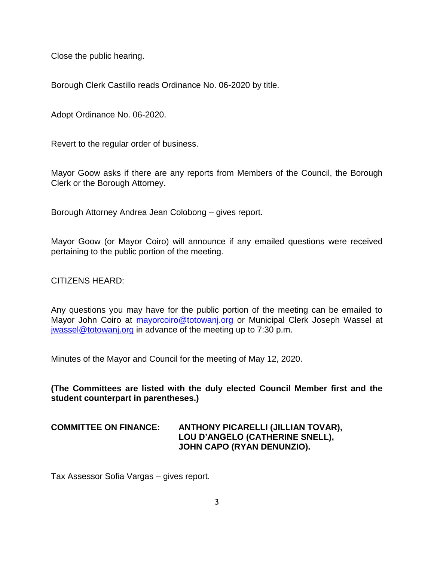Close the public hearing.

Borough Clerk Castillo reads Ordinance No. 06-2020 by title.

Adopt Ordinance No. 06-2020.

Revert to the regular order of business.

Mayor Goow asks if there are any reports from Members of the Council, the Borough Clerk or the Borough Attorney.

Borough Attorney Andrea Jean Colobong – gives report.

Mayor Goow (or Mayor Coiro) will announce if any emailed questions were received pertaining to the public portion of the meeting.

CITIZENS HEARD:

Any questions you may have for the public portion of the meeting can be emailed to Mayor John Coiro at [mayorcoiro@totowanj.org](mailto:mayorcoiro@totowanj.org) or Municipal Clerk Joseph Wassel at [jwassel@totowanj.org](mailto:jwassel@totowanj.org) in advance of the meeting up to 7:30 p.m.

Minutes of the Mayor and Council for the meeting of May 12, 2020.

**(The Committees are listed with the duly elected Council Member first and the student counterpart in parentheses.)**

## **COMMITTEE ON FINANCE: ANTHONY PICARELLI (JILLIAN TOVAR), LOU D'ANGELO (CATHERINE SNELL), JOHN CAPO (RYAN DENUNZIO).**

Tax Assessor Sofia Vargas – gives report.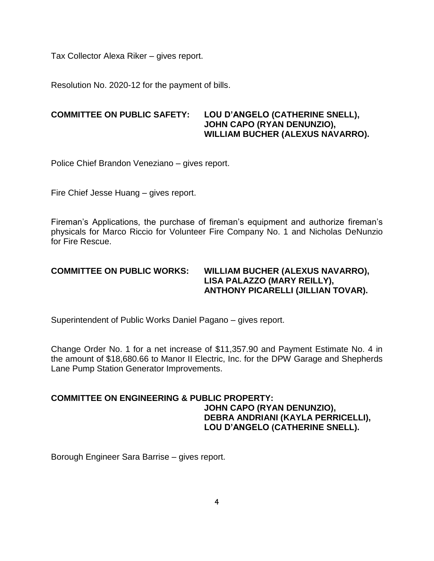Tax Collector Alexa Riker – gives report.

Resolution No. 2020-12 for the payment of bills.

## **COMMITTEE ON PUBLIC SAFETY: LOU D'ANGELO (CATHERINE SNELL), JOHN CAPO (RYAN DENUNZIO), WILLIAM BUCHER (ALEXUS NAVARRO).**

Police Chief Brandon Veneziano – gives report.

Fire Chief Jesse Huang – gives report.

Fireman's Applications, the purchase of fireman's equipment and authorize fireman's physicals for Marco Riccio for Volunteer Fire Company No. 1 and Nicholas DeNunzio for Fire Rescue.

### **COMMITTEE ON PUBLIC WORKS: WILLIAM BUCHER (ALEXUS NAVARRO), LISA PALAZZO (MARY REILLY), ANTHONY PICARELLI (JILLIAN TOVAR).**

Superintendent of Public Works Daniel Pagano – gives report.

Change Order No. 1 for a net increase of \$11,357.90 and Payment Estimate No. 4 in the amount of \$18,680.66 to Manor II Electric, Inc. for the DPW Garage and Shepherds Lane Pump Station Generator Improvements.

## **COMMITTEE ON ENGINEERING & PUBLIC PROPERTY: JOHN CAPO (RYAN DENUNZIO), DEBRA ANDRIANI (KAYLA PERRICELLI), LOU D'ANGELO (CATHERINE SNELL).**

Borough Engineer Sara Barrise – gives report.